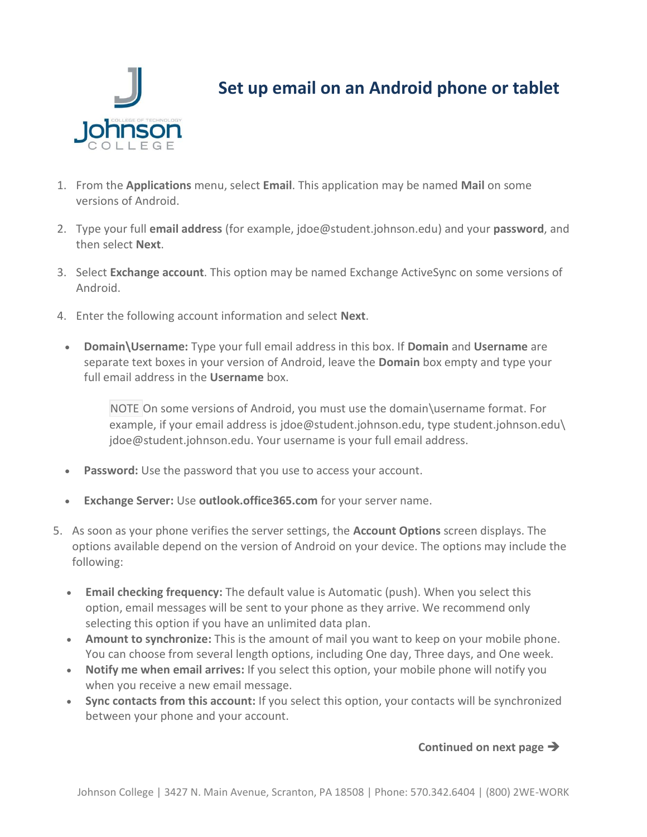

## **Set up email on an Android phone or tablet**

- 1. From the **Applications** menu, select **Email**. This application may be named **Mail** on some versions of Android.
- 2. Type your full **email address** (for example, jdoe@student.johnson.edu) and your **password**, and then select **Next**.
- 3. Select **Exchange account**. This option may be named Exchange ActiveSync on some versions of Android.
- 4. Enter the following account information and select **Next**.
	- **Domain\Username:** Type your full email address in this box. If **Domain** and **Username** are separate text boxes in your version of Android, leave the **Domain** box empty and type your full email address in the **Username** box.

NOTE On some versions of Android, you must use the domain\username format. For example, if your email address is jdoe@student.johnson.edu, type student.johnson.edu\ jdoe@student.johnson.edu. Your username is your full email address.

- **Password:** Use the password that you use to access your account.
- **Exchange Server:** Use **outlook.office365.com** for your server name.
- 5. As soon as your phone verifies the server settings, the **Account Options** screen displays. The options available depend on the version of Android on your device. The options may include the following:
	- **Email checking frequency:** The default value is Automatic (push). When you select this option, email messages will be sent to your phone as they arrive. We recommend only selecting this option if you have an unlimited data plan.
	- **Amount to synchronize:** This is the amount of mail you want to keep on your mobile phone. You can choose from several length options, including One day, Three days, and One week.
	- **Notify me when email arrives:** If you select this option, your mobile phone will notify you when you receive a new email message.
	- **Sync contacts from this account:** If you select this option, your contacts will be synchronized between your phone and your account.

## **Continued on next page**